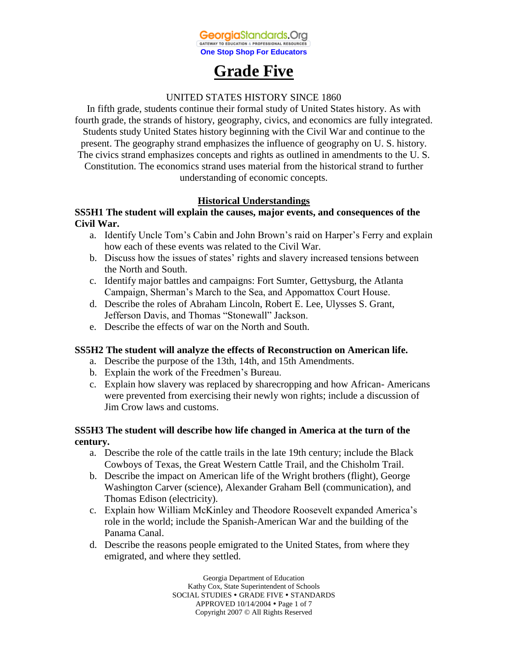

# **Grade Five**

#### UNITED STATES HISTORY SINCE 1860

In fifth grade, students continue their formal study of United States history. As with fourth grade, the strands of history, geography, civics, and economics are fully integrated. Students study United States history beginning with the Civil War and continue to the present. The geography strand emphasizes the influence of geography on U. S. history. The civics strand emphasizes concepts and rights as outlined in amendments to the U. S. Constitution. The economics strand uses material from the historical strand to further understanding of economic concepts.

# **Historical Understandings**

### **SS5H1 The student will explain the causes, major events, and consequences of the Civil War.**

- a. Identify Uncle Tom's Cabin and John Brown's raid on Harper's Ferry and explain how each of these events was related to the Civil War.
- b. Discuss how the issues of states' rights and slavery increased tensions between the North and South.
- c. Identify major battles and campaigns: Fort Sumter, Gettysburg, the Atlanta Campaign, Sherman's March to the Sea, and Appomattox Court House.
- d. Describe the roles of Abraham Lincoln, Robert E. Lee, Ulysses S. Grant, Jefferson Davis, and Thomas "Stonewall" Jackson.
- e. Describe the effects of war on the North and South.

#### **SS5H2 The student will analyze the effects of Reconstruction on American life.**

- a. Describe the purpose of the 13th, 14th, and 15th Amendments.
- b. Explain the work of the Freedmen's Bureau.
- c. Explain how slavery was replaced by sharecropping and how African- Americans were prevented from exercising their newly won rights; include a discussion of Jim Crow laws and customs.

### **SS5H3 The student will describe how life changed in America at the turn of the century.**

- a. Describe the role of the cattle trails in the late 19th century; include the Black Cowboys of Texas, the Great Western Cattle Trail, and the Chisholm Trail.
- b. Describe the impact on American life of the Wright brothers (flight), George Washington Carver (science), Alexander Graham Bell (communication), and Thomas Edison (electricity).
- c. Explain how William McKinley and Theodore Roosevelt expanded America's role in the world; include the Spanish-American War and the building of the Panama Canal.
- d. Describe the reasons people emigrated to the United States, from where they emigrated, and where they settled.

Georgia Department of Education Kathy Cox, State Superintendent of Schools SOCIAL STUDIES . GRADE FIVE . STANDARDS APPROVED 10/14/2004 Page 1 of 7 Copyright 2007 © All Rights Reserved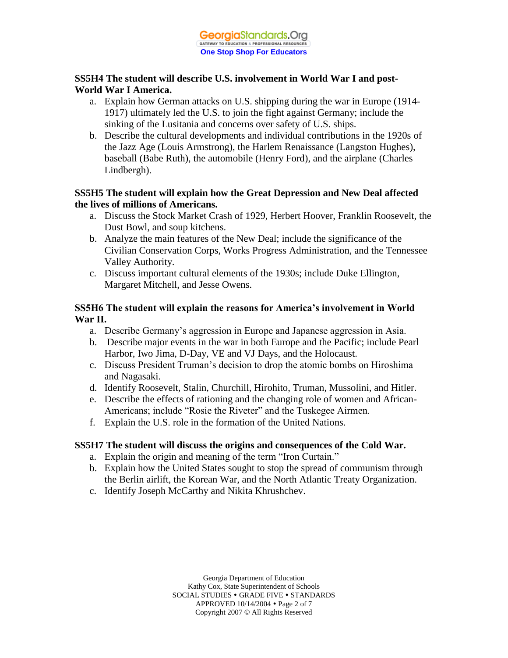# **SS5H4 The student will describe U.S. involvement in World War I and post-World War I America.**

- a. Explain how German attacks on U.S. shipping during the war in Europe (1914- 1917) ultimately led the U.S. to join the fight against Germany; include the sinking of the Lusitania and concerns over safety of U.S. ships.
- b. Describe the cultural developments and individual contributions in the 1920s of the Jazz Age (Louis Armstrong), the Harlem Renaissance (Langston Hughes), baseball (Babe Ruth), the automobile (Henry Ford), and the airplane (Charles Lindbergh).

#### **SS5H5 The student will explain how the Great Depression and New Deal affected the lives of millions of Americans.**

- a. Discuss the Stock Market Crash of 1929, Herbert Hoover, Franklin Roosevelt, the Dust Bowl, and soup kitchens.
- b. Analyze the main features of the New Deal; include the significance of the Civilian Conservation Corps, Works Progress Administration, and the Tennessee Valley Authority.
- c. Discuss important cultural elements of the 1930s; include Duke Ellington, Margaret Mitchell, and Jesse Owens.

### **SS5H6 The student will explain the reasons for America's involvement in World War II.**

- a. Describe Germany's aggression in Europe and Japanese aggression in Asia.
- b. Describe major events in the war in both Europe and the Pacific; include Pearl Harbor, Iwo Jima, D-Day, VE and VJ Days, and the Holocaust.
- c. Discuss President Truman's decision to drop the atomic bombs on Hiroshima and Nagasaki.
- d. Identify Roosevelt, Stalin, Churchill, Hirohito, Truman, Mussolini, and Hitler.
- e. Describe the effects of rationing and the changing role of women and African-Americans; include "Rosie the Riveter" and the Tuskegee Airmen.
- f. Explain the U.S. role in the formation of the United Nations.

# **SS5H7 The student will discuss the origins and consequences of the Cold War.**

- a. Explain the origin and meaning of the term "Iron Curtain."
- b. Explain how the United States sought to stop the spread of communism through the Berlin airlift, the Korean War, and the North Atlantic Treaty Organization.
- c. Identify Joseph McCarthy and Nikita Khrushchev.

Georgia Department of Education Kathy Cox, State Superintendent of Schools SOCIAL STUDIES . GRADE FIVE . STANDARDS APPROVED 10/14/2004 Page 2 of 7 Copyright 2007 © All Rights Reserved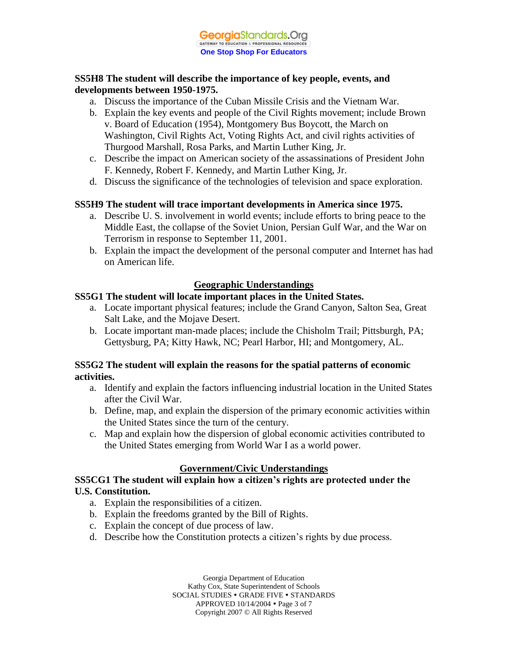#### **SS5H8 The student will describe the importance of key people, events, and developments between 1950-1975.**

- a. Discuss the importance of the Cuban Missile Crisis and the Vietnam War.
- b. Explain the key events and people of the Civil Rights movement; include Brown v. Board of Education (1954), Montgomery Bus Boycott, the March on Washington, Civil Rights Act, Voting Rights Act, and civil rights activities of Thurgood Marshall, Rosa Parks, and Martin Luther King, Jr.
- c. Describe the impact on American society of the assassinations of President John F. Kennedy, Robert F. Kennedy, and Martin Luther King, Jr.
- d. Discuss the significance of the technologies of television and space exploration.

### **SS5H9 The student will trace important developments in America since 1975.**

- a. Describe U. S. involvement in world events; include efforts to bring peace to the Middle East, the collapse of the Soviet Union, Persian Gulf War, and the War on Terrorism in response to September 11, 2001.
- b. Explain the impact the development of the personal computer and Internet has had on American life.

# **Geographic Understandings**

### **SS5G1 The student will locate important places in the United States.**

- a. Locate important physical features; include the Grand Canyon, Salton Sea, Great Salt Lake, and the Mojave Desert.
- b. Locate important man-made places; include the Chisholm Trail; Pittsburgh, PA; Gettysburg, PA; Kitty Hawk, NC; Pearl Harbor, HI; and Montgomery, AL.

### **SS5G2 The student will explain the reasons for the spatial patterns of economic activities.**

- a. Identify and explain the factors influencing industrial location in the United States after the Civil War.
- b. Define, map, and explain the dispersion of the primary economic activities within the United States since the turn of the century.
- c. Map and explain how the dispersion of global economic activities contributed to the United States emerging from World War I as a world power.

# **Government/Civic Understandings**

**SS5CG1 The student will explain how a citizen's rights are protected under the U.S. Constitution.**

- a. Explain the responsibilities of a citizen.
- b. Explain the freedoms granted by the Bill of Rights.
- c. Explain the concept of due process of law.
- d. Describe how the Constitution protects a citizen's rights by due process.

Georgia Department of Education Kathy Cox, State Superintendent of Schools SOCIAL STUDIES . GRADE FIVE . STANDARDS APPROVED 10/14/2004 Page 3 of 7 Copyright 2007 © All Rights Reserved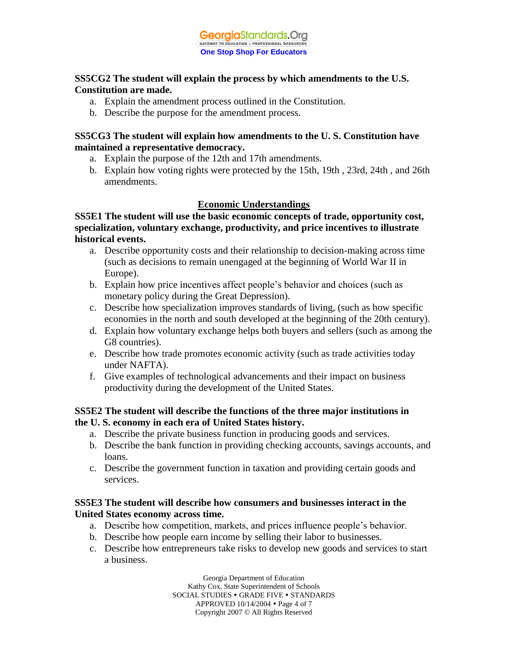### **SS5CG2 The student will explain the process by which amendments to the U.S. Constitution are made.**

- a. Explain the amendment process outlined in the Constitution.
- b. Describe the purpose for the amendment process.

#### **SS5CG3 The student will explain how amendments to the U. S. Constitution have maintained a representative democracy.**

- a. Explain the purpose of the 12th and 17th amendments.
- b. Explain how voting rights were protected by the 15th, 19th , 23rd, 24th , and 26th amendments.

### **Economic Understandings**

**SS5E1 The student will use the basic economic concepts of trade, opportunity cost, specialization, voluntary exchange, productivity, and price incentives to illustrate historical events.**

- a. Describe opportunity costs and their relationship to decision-making across time (such as decisions to remain unengaged at the beginning of World War II in Europe).
- b. Explain how price incentives affect people's behavior and choices (such as monetary policy during the Great Depression).
- c. Describe how specialization improves standards of living, (such as how specific economies in the north and south developed at the beginning of the 20th century).
- d. Explain how voluntary exchange helps both buyers and sellers (such as among the G8 countries).
- e. Describe how trade promotes economic activity (such as trade activities today under NAFTA).
- f. Give examples of technological advancements and their impact on business productivity during the development of the United States.

#### **SS5E2 The student will describe the functions of the three major institutions in the U. S. economy in each era of United States history.**

- a. Describe the private business function in producing goods and services.
- b. Describe the bank function in providing checking accounts, savings accounts, and loans.
- c. Describe the government function in taxation and providing certain goods and services.

### **SS5E3 The student will describe how consumers and businesses interact in the United States economy across time.**

- a. Describe how competition, markets, and prices influence people's behavior.
- b. Describe how people earn income by selling their labor to businesses.
- c. Describe how entrepreneurs take risks to develop new goods and services to start a business.

Georgia Department of Education Kathy Cox, State Superintendent of Schools SOCIAL STUDIES . GRADE FIVE . STANDARDS APPROVED 10/14/2004 Page 4 of 7 Copyright 2007 © All Rights Reserved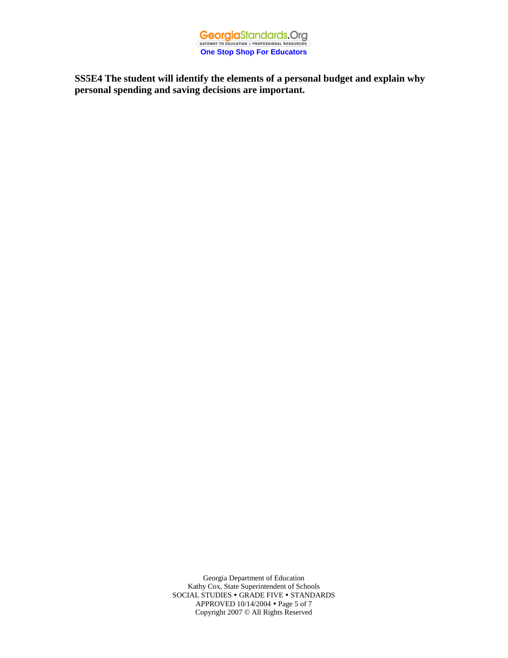

**SS5E4 The student will identify the elements of a personal budget and explain why personal spending and saving decisions are important.**

> Georgia Department of Education Kathy Cox, State Superintendent of Schools SOCIAL STUDIES • GRADE FIVE • STANDARDS APPROVED 10/14/2004 Page 5 of 7 Copyright 2007 © All Rights Reserved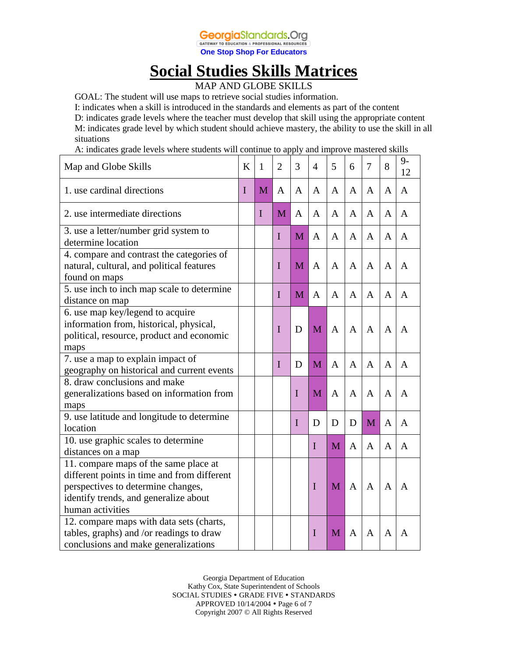

# **Social Studies Skills Matrices**

MAP AND GLOBE SKILLS

GOAL: The student will use maps to retrieve social studies information.

I: indicates when a skill is introduced in the standards and elements as part of the content

D: indicates grade levels where the teacher must develop that skill using the appropriate content M: indicates grade level by which student should achieve mastery, the ability to use the skill in all situations

A: indicates grade levels where students will continue to apply and improve mastered skills

| Map and Globe Skills                                                                                                                                                                    | K | 1           | $\overline{2}$ | 3           | 4           | 5 | 6            | 7            | 8              | $9-$<br>12   |
|-----------------------------------------------------------------------------------------------------------------------------------------------------------------------------------------|---|-------------|----------------|-------------|-------------|---|--------------|--------------|----------------|--------------|
| 1. use cardinal directions                                                                                                                                                              | I | M           | $\mathsf{A}$   | A           | A           | A | A            | A            | A              | $\mathbf{A}$ |
| 2. use intermediate directions                                                                                                                                                          |   | $\mathbf I$ | M              | A           | A           | A | A            | A            | A              | A            |
| 3. use a letter/number grid system to<br>determine location                                                                                                                             |   |             | I              | M           | A           | A | A            | A            | A              | A            |
| 4. compare and contrast the categories of<br>natural, cultural, and political features<br>found on maps                                                                                 |   |             | I              | M           | A           | A | A            | A            | A              | A            |
| 5. use inch to inch map scale to determine<br>distance on map                                                                                                                           |   |             | $\mathbf I$    | M           | A           | A | A            | $\mathbf{A}$ | A              | A            |
| 6. use map key/legend to acquire<br>information from, historical, physical,<br>political, resource, product and economic<br>maps                                                        |   |             | $\mathbf I$    | D           | M           | A | A            | A            | A              | A            |
| 7. use a map to explain impact of<br>geography on historical and current events                                                                                                         |   |             | $\mathbf I$    | D           | M           | A | A            | A            | A              | A            |
| 8. draw conclusions and make<br>generalizations based on information from<br>maps                                                                                                       |   |             |                | $\mathbf I$ | M           | A | A            | A            | A              | A            |
| 9. use latitude and longitude to determine<br>location                                                                                                                                  |   |             |                | I           | D           | D | D            | M            | A              | A            |
| 10. use graphic scales to determine<br>distances on a map                                                                                                                               |   |             |                |             | $\mathbf I$ | M | $\mathbf{A}$ | A            | $\overline{A}$ | A            |
| 11. compare maps of the same place at<br>different points in time and from different<br>perspectives to determine changes,<br>identify trends, and generalize about<br>human activities |   |             |                |             | $\mathbf I$ | M | A            | $\mathbf{A}$ | A              | A            |
| 12. compare maps with data sets (charts,<br>tables, graphs) and /or readings to draw<br>conclusions and make generalizations                                                            |   |             |                |             | I           | M | A            | A            | A              | A            |

Georgia Department of Education Kathy Cox, State Superintendent of Schools SOCIAL STUDIES . GRADE FIVE . STANDARDS APPROVED 10/14/2004 Page 6 of 7 Copyright 2007 © All Rights Reserved